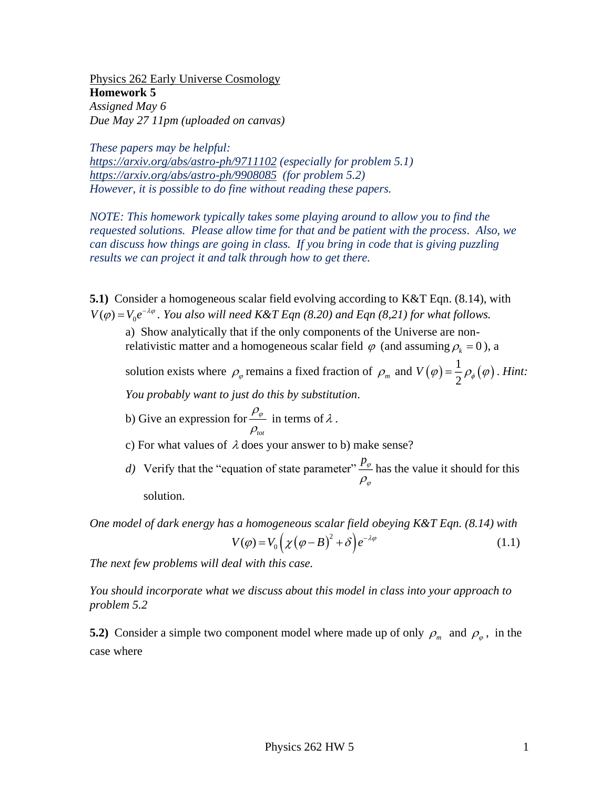Physics 262 Early Universe Cosmology **Homework 5** *Assigned May 6 Due May 27 11pm (uploaded on canvas)* 

*These papers may be helpful:*

*<https://arxiv.org/abs/astro-ph/9711102> (especially for problem 5.1) <https://arxiv.org/abs/astro-ph/9908085>(for problem 5.2) However, it is possible to do fine without reading these papers.* 

*NOTE: This homework typically takes some playing around to allow you to find the requested solutions. Please allow time for that and be patient with the process. Also, we can discuss how things are going in class. If you bring in code that is giving puzzling results we can project it and talk through how to get there. V* you to find the<br>the process. Also, we<br>is giving puzzling<br> $\mathcal{E}T$  Eqn. (8.14), with<br>pr what follows.<br>verse are non-<br>suming  $\rho_k = 0$ ), a<br> $V(\varphi) = \frac{1}{2} \rho_{\varphi}(\varphi)$ . Hint:

**5.1)** Consider a homogeneous scalar field evolving according to K&T Eqn. (8.14), with  $V(\varphi) = V_0 e^{-\lambda \varphi}$ . You also will need K&T Eqn (8.20) and Eqn (8,21) for what follows.

a) Show analytically that if the only components of the Universe are nonrelativistic matter and a homogeneous scalar field  $\varphi$  (and assuming  $\rho_k = 0$ ), a

solution exists where  $\rho_{\varphi}$  remains a fixed fraction of  $\rho_m$  and  $V(\varphi) = \frac{1}{2} \rho_{\varphi}(\varphi)$ . *Hint:*  $2^{r_{\varphi}(r)}$ . *Hint:* 

*You probably want to just do this by substitution.*

- b) Give an expression for *tot*  $\rho_{\varphi}$  in terms of 2  $\rho_{\rm_{tot}}$ in terms of  $\lambda$ .
- c) For what values of  $\lambda$  does your answer to b) make sense?
- d) Verify that the "equation of state parameter"  $\frac{p_{\varphi}}{p}$  has the value it sho  $\rho_{\varphi}$ has the value it should for this solution.

*One model of dark energy has a homogeneous scalar field obeying K&T Eqn. (8.14) with*  $V(\varphi) = V_0 \left( \chi \left( \varphi - B \right)^2 + \delta \right) e^{-\lambda \varphi}$ (1.1)

*The next few problems will deal with this case.* 

*You should incorporate what we discuss about this model in class into your approach to problem 5.2*

**5.2**) Consider a simple two component model where made up of only  $\rho_m$  and  $\rho_\varphi$ , in the case where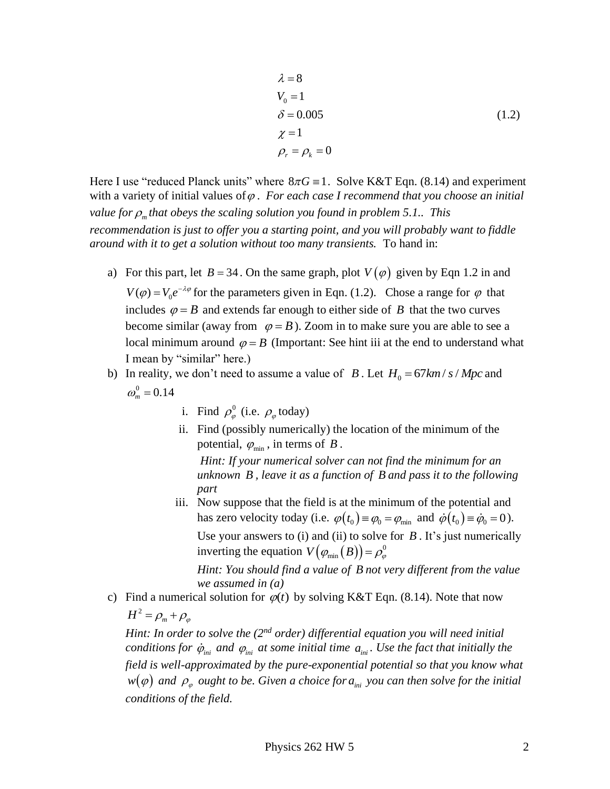$$
\lambda = 8
$$
  
\n
$$
V_0 = 1
$$
  
\n
$$
\delta = 0.005
$$
  
\n
$$
\chi = 1
$$
  
\n
$$
\rho_r = \rho_k = 0
$$
  
\n(1.2)

Here I use "reduced Planck units" where  $8\pi G \equiv 1$ . Solve K&T Eqn. (8.14) and experiment with a variety of initial values of  $\varphi$ . For each case I recommend that you choose an initial value for  $\rho_m$  that obeys the scaling solution you found in problem 5.1.. This *recommendation is just to offer you a starting point, and you will probably want to fiddle around with it to get a solution without too many transients.* To hand in:

- a) For this part, let  $B = 34$ . On the same graph, plot  $V(\varphi)$  given by Eqn 1.2 in and  $V(\varphi) = V_0 e^{-\lambda \varphi}$  for the parameters given in Eqn. (1.2). Chose a range for  $\varphi$  that includes  $\varphi = B$  and extends far enough to either side of B that the two curves become similar (away from  $\varphi = B$ ). Zoom in to make sure you are able to see a local minimum around  $\varphi = B$  (Important: See hint iii at the end to understand what I mean by "similar" here.)
- b) In reality, we don't need to assume a value of *B*. Let  $H_0 = 67 km/s/Mpc$  and  $\omega_m^0 = 0.14$ 
	- i. Find  $\rho_{\varphi}^{0}$  (i.e.  $\rho_{\varphi}$  today)
	- ii. Find (possibly numerically) the location of the minimum of the potential,  $\varphi_{\min}$ , in terms of B.

*Hint: If your numerical solver can not find the minimum for an unknown B , leave it as a function of B and pass it to the following part*

iii. Now suppose that the field is at the minimum of the potential and has zero velocity today (i.e.  $\varphi(t_0) = \varphi_0 = \varphi_{\min}$  and  $\dot{\varphi}(t_0) = \dot{\varphi}_0 = 0$ ). Use your answers to  $(i)$  and  $(ii)$  to solve for  $B$ . It's just numerically inverting the equation  $V(\varphi_{min}(B)) = \rho_{\varphi}^{0}$ 

*Hint: You should find a value of B not very different from the value we assumed in (a)*

c) Find a numerical solution for  $\varphi(t)$  by solving K&T Eqn. (8.14). Note that now

 $H^2 = \rho_m + \rho_g$ 

*Hint: In order to solve the (2nd order) differential equation you will need initial conditions for*  $\dot{\varphi}_{\text{ini}}$  *and*  $\varphi_{\text{ini}}$  *at some initial time*  $a_{\text{ini}}$ *. Use the fact that initially the field is well-approximated by the pure-exponential potential so that you know what*   $w(\varphi)$  and  $\rho_{\varphi}$  ought to be. Given a choice for  $a_{\scriptscriptstyle ini}$  you can then solve for the initial *conditions of the field.*